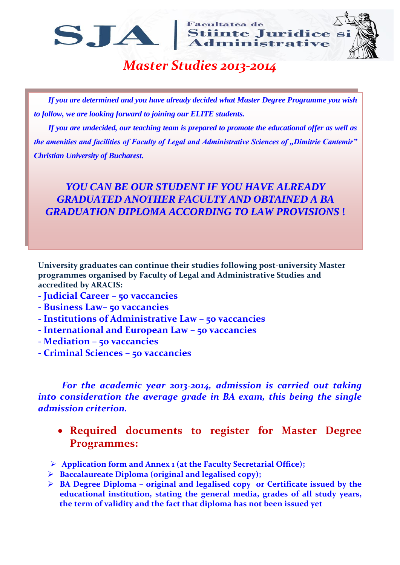**Facultatea de** SJA Stiinte Juridice si



## *Master Studies 2013-2014*

*If you are determined and you have already decided what Master Degree Programme you wish to follow, we are looking forward to joining our ELITE students.*

*If you are undecided, our teaching team is prepared to promote the educational offer as well as the amenities and facilities of Faculty of Legal and Administrative Sciences of "Dimitrie Cantemir*" *Christian University of Bucharest.* 

## *YOU CAN BE OUR STUDENT IF YOU HAVE ALREADY GRADUATED ANOTHER FACULTY AND OBTAINED A BA GRADUATION DIPLOMA ACCORDING TO LAW PROVISIONS* **!**

**University graduates can continue their studies following post-university Master programmes organised by Faculty of Legal and Administrative Studies and accredited by ARACIS:**

- **- Judicial Career – 50 vaccancies**
- **- Business Law– 50 vaccancies**
- **- Institutions of Administrative Law – 50 vaccancies**
- **- International and European Law – 50 vaccancies**
- **- Mediation – 50 vaccancies**
- **- Criminal Sciences – 50 vaccancies**

*For the academic year 2013-2014, admission is carried out taking into consideration the average grade in BA exam, this being the single admission criterion.* 

- **Required documents to register for Master Degree Programmes:**
- **Application form and Annex 1 (at the Faculty Secretarial Office);**
- **Baccalaureate Diploma (original and legalised copy);**
- **BA Degree Diploma – original and legalised copy or Certificate issued by the educational institution, stating the general media, grades of all study years, the term of validity and the fact that diploma has not been issued yet**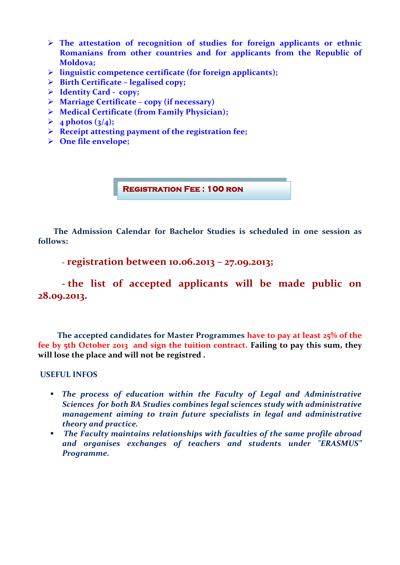- **The attestation of recognition of studies for foreign applicants or ethnic Romanians from other countries and for applicants from the Republic of Moldova;**
- **linguistic competence certificate (for foreign applicants);**
- **Birth Certificate – legalised copy;**
- **Identity Card copy;**
- **Marriage Certificate – copy (if necessary)**
- **Medical Certificate (from Family Physician);**
- $\geqslant 4$  photos (3/4);
- **Receipt attesting payment of the registration fee;**
- **One file envelope;**

**Registration Fee : 100 ron**

 **The Admission Calendar for Bachelor Studies is scheduled in one session as follows:**

**- registration between 10.06.2013 – 27.09.2013;**

**- the list of accepted applicants will be made public on 28.09.2013.**

 **The accepted candidates for Master Programmes have to pay at least 25% of the fee by 5th October 2013 and sign the tuition contract. Failing to pay this sum, they will lose the place and will not be registred .** 

**USEFUL INFOS** 

- *The process of education within the Faculty of Legal and Administrative Sciences for both BA Studies combines legal sciences study with administrative management aiming to train future specialists in legal and administrative theory and practice.*
- *The Faculty maintains relationships with faculties of the same profile abroad and organises exchanges of teachers and students under "ERASMUS" Programme.*